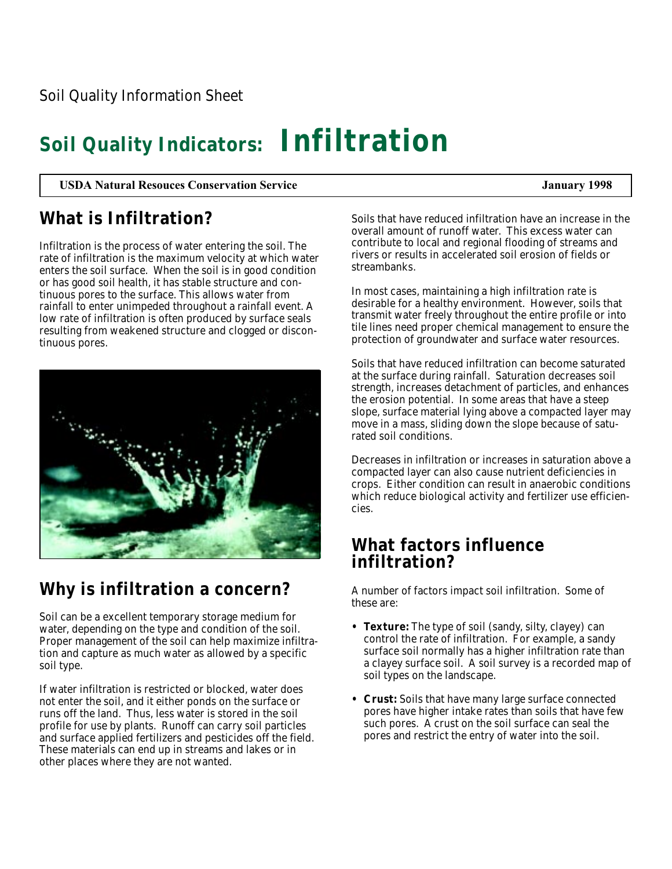# **Soil Quality Indicators: Infiltration**

**USDA Natural Resouces Conservation Service January 1998**

## **What is Infiltration?**

Infiltration is the process of water entering the soil. The rate of infiltration is the maximum velocity at which water enters the soil surface. When the soil is in good condition or has good soil health, it has stable structure and continuous pores to the surface. This allows water from rainfall to enter unimpeded throughout a rainfall event. A low rate of infiltration is often produced by surface seals resulting from weakened structure and clogged or discontinuous pores.



## **Why is infiltration a concern?**

Soil can be a excellent temporary storage medium for water, depending on the type and condition of the soil. Proper management of the soil can help maximize infiltration and capture as much water as allowed by a specific soil type.

If water infiltration is restricted or blocked, water does not enter the soil, and it either ponds on the surface or runs off the land. Thus, less water is stored in the soil profile for use by plants. Runoff can carry soil particles and surface applied fertilizers and pesticides off the field. These materials can end up in streams and lakes or in other places where they are not wanted.

Soils that have reduced infiltration have an increase in the overall amount of runoff water. This excess water can contribute to local and regional flooding of streams and rivers or results in accelerated soil erosion of fields or streambanks.

In most cases, maintaining a high infiltration rate is desirable for a healthy environment. However, soils that transmit water freely throughout the entire profile or into tile lines need proper chemical management to ensure the protection of groundwater and surface water resources.

Soils that have reduced infiltration can become saturated at the surface during rainfall. Saturation decreases soil strength, increases detachment of particles, and enhances the erosion potential. In some areas that have a steep slope, surface material lying above a compacted layer may move in a mass, sliding down the slope because of saturated soil conditions.

Decreases in infiltration or increases in saturation above a compacted layer can also cause nutrient deficiencies in crops. Either condition can result in anaerobic conditions which reduce biological activity and fertilizer use efficiencies.

### **What factors influence infiltration?**

A number of factors impact soil infiltration. Some of these are:

- **Texture:** The type of soil (sandy, silty, clayey) can control the rate of infiltration. For example, a sandy surface soil normally has a higher infiltration rate than a clayey surface soil. A soil survey is a recorded map of soil types on the landscape.
- **Crust:** Soils that have many large surface connected pores have higher intake rates than soils that have few such pores. A crust on the soil surface can seal the pores and restrict the entry of water into the soil.